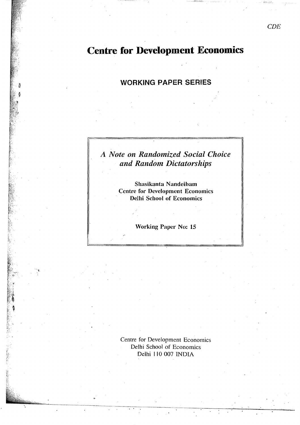# **Centre for Development Economics**

### **WORKING PAPER SERIES**

## A Note on Randomized Social Choice and Random Dictatorships

Shasikanta Nandeibam **Centre for Development Economics Delhi School of Economics** 

**Working Paper No: 15** 

Centre for Development Economics Delhi School of Economics Delhi 110 007 INDIA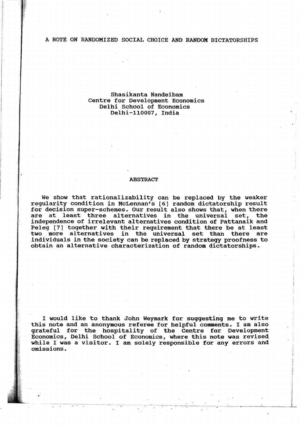#### A NOTE ON RANDOMIZED SOCIAL CHOICE AND RANDOM DICTATORSHIPS

#### Shasikanta Nandeibam Centre for Development Eoonomics Delhi School of Economics Delhi-ll0007, India

#### ABSTRACT

We show that rationalizability can be replaced by the weaker regularity condition in McLennan's [6] random dictatorship result for decision super-schemes. Our result also shows that, when there are at least three alternatives in the universal set, the independence of irrelevant alternatives condition of Pattanaik and Peleg [7] together with their requirement that there be at least two more alternatives in the universal set than there are individuals in the society can be replaced by strategy proofness to obtain an alternative characterization of random dictatorships.

I would like to thank John Weymark for suggesting me to write this note and an anonymous referee for helpful comments. I am also grateful for the hospitality of the Centre for Development Economics, Delhi School of Economics, where this note was revised while I was a visitor. I am solely responsible for any errors and omissions.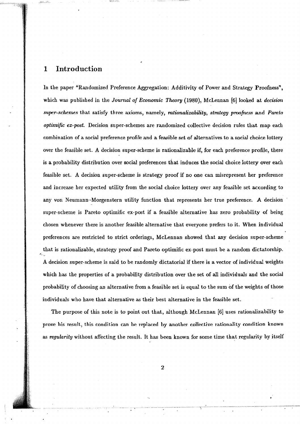### 1 **Introd**uction

In the paper "Randomized Preference Aggregation: Additivity of Power and Strategy Proofness", which was published in the *Journal of Economic Theory* (1980), McLennan [6] looked at *decision*  super-schemes that satisfy three axioms, namely, *rationalizability, strategy proofness* and *Pareto optimific ex-post.* Decision super-schemes are randomized collective decision rules that map each combination of a social preference profile and a feasible set of alternatives to a social choice lottery over the feasible set. A decision super-scheme is rationalizable if, for each preference proftle, there is a probability distribution over social preferences that induces the social choice lottery over each feasible set. A decision super-scheme is strategy proof if no one can misrepresent her preference and increase her expected utility from the social choice lottery over any feasible set according to any von Neumann-Morgenstern utility function that represents her true preference. A decision super-scheme is Pareto optimific ex-post if a feasible alternative has zero probability of being chosen whenever there is another feasible alternative that everyone prefers to it. When individual preferences are restricted to strict orderings, McLennan showed that any decision super-scheme that is rationalizable, strategy proof and Pareto optimific ex-post must be a random dictatorship. A decision super-scheme is said to be randomly dictatorial if there is a vector of individual weights which has the properties of a probability distribution over the set of all individuals and the social probability of choosing an alternative from a feasible set is equal to the sum of the weights of those individuals who have that alternative as their best alternative in the feasible set.

The purpose of this note is to point out that, although McLennan [6] uses rationalizability to prove his result, this condition can be replaced by another collective rationality condition known as *regularity* without affecting the result. It has been known for some time that regularity by itself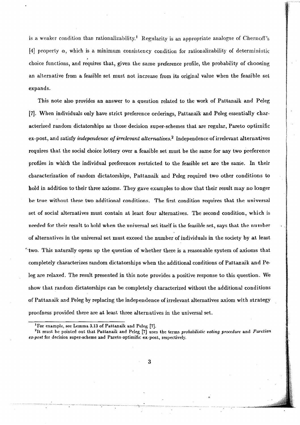is a weaker condition than rationalizability.<sup>1</sup> Regularity is an appropriate analogue of Chernoff's [4] property  $\alpha$ , which is a minimum consistency condition for rationalizability of deterministic , choice functions, and requires that, given the same preference profile, the probability of choosing an alternative from a feasible set must not increase from its original value when the feasible set expands.

This note also provides an answer to a question related to the work of Pattanaik and Peleg [7]. When individuals only have strict preference orderings, Pattanaik and Peleg essentially characterized random dictatorships as those decision super-schemes that are regular, Pareto optimific ex.post, and satisfy *independence of irrelevant alternatives.2* Independence of irrelevant alternatives requires that the social choice lottery OVer a feasible set must be the same for any two preference profiles in which the individual preferences restricted to the feasible set are the same. In their characterization of random dictatorships, Pattanaik and Peleg required two other conditions to hold in addition to their three axioms. They gave examples to show that their result may no longer be true without these two additional conditions. The first condition requires that the universal set of social alternatives must contain at least four alternatives. The second condition, which is needed for their result to hold when the universal set itself is the feasible set, says that the number of alternatives in the universal set must exceed the number of individuals in the society by at least  $\sim$ two. This naturally opens up the question of whether there is a reasonable system of axioms that completely characterizes random dictatorships when the additional conditions of Pattanaik and Peleg are relaxed. The result presented in this note provides a positive response to this question. We show that random dictatorships can be completely characterized without the additional conditions of Pattanaik and Peleg by replacing the independence of irrelevant alternatives axiom with strategy proofness provided there are at least three alternatives in the universal set.

<sup>1</sup> For example, see Lemma 3.13 of Pattanaikand Peleg [7].

<sup>&</sup>lt;sup>2</sup>It must be pointed out that Pattanaik and Peleg [7] uses the terms *probabilistic voting procedure* and *Paretian* ex-post for decision super-scheme and Pareto optimific ex-post, respectively.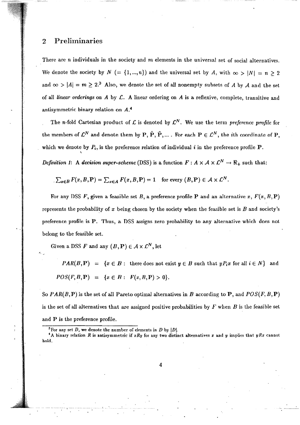#### 2 Preliminaries

\

There are n individuals in the society and  $m$  elements in the universal set of social alternatives. We denote the society by  $N = \{1, ..., n\}$  and the universal set by A, with  $\infty > |N| = n \ge 2$ and  $\infty > |A| = m \ge 2^3$  Also, we denote the set of all nonempty subsets of A by A and the set of all *linear orderings* on *A* by £. A linear ordering on *A* is a reflexive, complete, transitive and antisymmetric binary relation on  $A^4$ 

The *n*-fold Cartesian product of  $\mathcal{L}$  is denoted by  $\mathcal{L}^N$ . We use the term *preference profile* for the members of  $\mathcal{L}^N$  and denote them by P,  $\hat{P}$ ,  $\tilde{P}$ , .... For each  $P \in \mathcal{L}^N$ , the *i*th coordinate of P, which we denote by  $P_i$ , is the preference relation of individual i in the preference profile  $P$ .

*Definition 1:* A *decision super-scheme* (DSS) is a function  $F: A \times A \times C^N \rightarrow \mathbb{R}_+$  such that:

$$
\sum_{x \in B} F(x, B, \mathbf{P}) = \sum_{x \in A} F(x, B, \mathbf{P}) = 1 \text{ for every } (B, \mathbf{P}) \in \mathcal{A} \times \mathcal{L}^N.
$$

For any DSS F, given a feasible set B, a preference profile P and an alternative x,  $F(x, B, P)$ represents the probability of  $x$  being chosen by the society when the feasible set is  $B$  and society's preference profile is P. Thus, a DSS assigns zero probability to any alternative which does not belong to the feasible set.

Given a DSS F and any  $(B, P) \in A \times \mathcal{L}^N$ , let

*PAR(B,P)* = { $x \in B$ : there does not exist  $y \in B$  such that  $yP_ix$  for all  $i \in N$ } and  $POS(F, B, P) = \{x \in B: F(x, B, P) > 0\}.$ 

So  $PAR(B, P)$  is the set of all Pareto optimal alternatives in *B* according to **P**, and  $POS(F, B, P)$ is the set of all alternatives that are assigned positive probabilities by F when B is the feasible set and P is the preference profile.

<sup>&</sup>lt;sup>3</sup>For any set D, we denote the number of elements in D by  $|D|$ .

<sup>&</sup>lt;sup>4</sup>A binary relation *R* is antisymmetric if  $xRy$  for any two distinct alternatives x and y implies that  $yRx$  cannot hoM.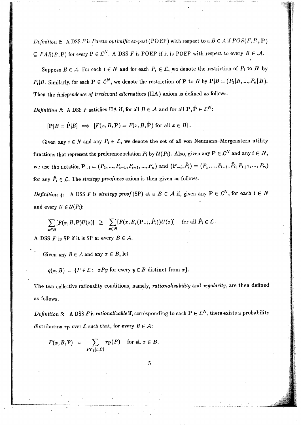*D*(*finition 2:* A DSS *F* is *Pareto optimific ex-post* (POEP) with respect to a.  $B \in \mathcal{A}$  if  $POS(F, B, P)$  $\subseteq$  *PAR(B,P)* for every  $P \in \mathcal{L}^N$ . A DSS *F* is POEP if it is POEP with respect to every  $B \in \mathcal{A}$ .

Suppose  $B \in \mathcal{A}$ . For each  $i \in N$  and for each  $P_i \in \mathcal{L}$ , we denote the restriction of  $P_i$  to  $B$  by  $P_i|B$ . Similarly, for each  $P \in \mathcal{L}^N$ , we denote the restriction of P to B by  $P|B = (P_1|B, ..., P_n|B)$ . Then the *independence oj irrelevant alternatives* (IlA) axiom is defined as follows.

*Definition 3*: A DSS F satisfies IIA if, for all  $B \in \mathcal{A}$  and for all  $P, \hat{P} \in \mathcal{L}^N$ :

 $[P|B| \Rightarrow [F(x, B, P)] = F(x, B, \hat{P})$  for all  $x \in B$ .

Given any  $i \in N$  and any  $P_i \in \mathcal{L}$ , we denote the set of all von Neumann-Morgenstern utility functions that represent the preference relation  $P_i$  by  $\mathcal{U}(P_i)$ . Also, given any  $P \in \mathcal{L}^N$  and any  $i \in N$ , we use the notation  $P_{-i}=(P_1,...,P_{i-1},P_{i+1},...,P_n)$  and  $(P_{-i},\hat{P}_i)=(P_1,...,P_{i-1},\hat{P}_i,P_{i+1},...,P_n)$ for any  $\hat{P}_i \in \mathcal{L}$ . The *strategy proofness* axiom is then given as follows.

*Definition 4:* A DSS *F* is *strategy proof* (SP) at a  $B \in A$  if, given any  $P \in C^N$ , for each  $i \in N$ and every  $U \in \mathcal{U}(P_i)$ :

$$
\sum_{x \in B} [F(x, B, \mathbf{P})U(x)] \geq \sum_{x \in B} [F(x, B, (\mathbf{P}_{-i}, \hat{P}_i))U(x)] \text{ for all } \hat{P}_i \in \mathcal{L}.
$$

A DSS F is SP if it is SP at every  $B \in \mathcal{A}$ .

Given any  $B \in \mathcal{A}$  and any  $x \in B$ , let

 $q(x, B) = {P \in \mathcal{L} : xPy \text{ for every } y \in B \text{ distinct from } x}.$ 

The two collective rationality conditions, namely, *rationalizability* and *regularity*, are then defined as follows.

*Definition 5*: A DSS *F* is *rationalizable* if, corresponding to each  $P \in \mathcal{L}^N$ , there exists a probability distribution  $r_p$  over  $\mathcal L$  such that, for every  $B \in \mathcal A$ :

$$
F(x, B, P) = \sum_{P \in q(x, B)} r_P(P) \text{ for all } x \in B.
$$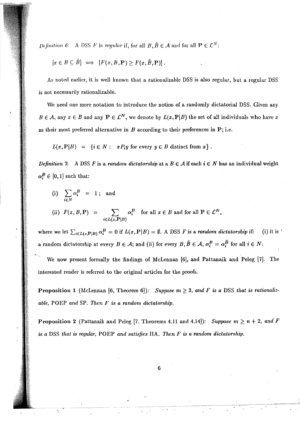*Definition 6*: A DSS *F* is regular if, for all  $B, \hat{B} \in \mathcal{A}$  and for all  $P \in \mathcal{L}^N$ :

$$
[x \in B \subseteq \hat{B}] \implies [F(x, B, \mathbf{P}) \ge F(x, \hat{B}, \mathbf{P})].
$$

As noted earlier, it is well known that a rationalizable DSS is also regular, but a regular DSS is not necessarily rationalizable.

We need one more notation to introduce the notion of a randomly dictatorial DSS. Given any  $B \in \mathcal{A}$ , any  $x \in B$  and any  $P \in \mathcal{L}^N$ , we denote by  $L(x, P|B)$  the set of all individuals who have x as their most preferred alternative in  $B$  according to their preferences in  $P$ ; i.e.

$$
L(x,\mathbf{P}|B) = \{i \in N: xP_iy \text{ for every } y \in B \text{ distinct from } x\}.
$$

*Definition 7:* A DSS *F* is a *random dictatorship* at a  $B \in A$  if each  $i \in N$  has an individual weight  $\alpha_i^B \in [0,1]$  such that:

(i) 
$$
\sum_{i \in N} \alpha_i^B = 1
$$
; and  
\n(ii)  $F(x, B, P) = \sum_{i \in L(x, P|B)} \alpha_i^B$  for all  $x \in B$  and for all  $P \in \mathcal{L}^N$ ,

where we let  $\sum_{i\in L(x,\mathbf{P}|B)} \alpha_i^B = 0$  if  $L(x,\mathbf{P}|B) = \emptyset$ . A DSS *F* is a *random dictatorship* if: (i) it is ' a random dictatorship at every  $B \in \mathcal{A}$ ; and (ii) for every  $B, \hat{B} \in \mathcal{A}$ ,  $\alpha_i^B = \alpha_i^{\hat{B}}$  for all  $i \in N$ .

We now present formally the findings of McLennan [6], and Pattanaik and Peleg [7]. The interested reader is referred to the original articles for the proofs.

**Proposition 1** (McLennan [6, Theorem 6]): Suppose  $m \geq 3$ , and F is a DSS that is rationaliz*able,* POEP *and* SP. *Then F* is *a random dictatorship.* 

**Proposition 2** (Pattanaik and Peleg [7, Theorems 4.11 and 4.14]): *Suppose*  $m \ge n+2$ *, and F is a* DSS *that is regular,* POEP *and satisfies* IIA. *Then F* is *a random dictatorship.*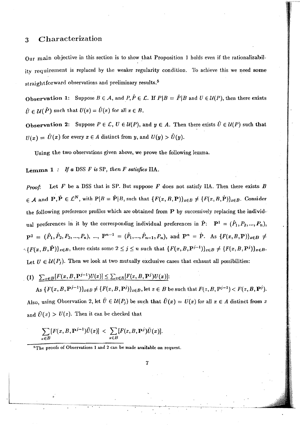#### Characterization 3

Our main objective in this section is to show that Proposition 1 holds even if the rationalizability requirement is replaced by the weaker regularity condition. To achieve this we need some straightforward observations and preliminary results.<sup>5</sup>

**Observation 1:** Suppose  $B \in \mathcal{A}$ , and  $P, \hat{P} \in \mathcal{L}$ . If  $P|B = \hat{P}|B$  and  $U \in \mathcal{U}(P)$ , then there exists  $\hat{U} \in \mathcal{U}(\hat{P})$  such that  $U(x) = \hat{U}(x)$  for all  $x \in B$ .

**Observation 2:** Suppose  $P \in \mathcal{L}$ ,  $U \in \mathcal{U}(P)$ , and  $y \in A$ . Then there exists  $\hat{U} \in \mathcal{U}(P)$  such that  $U(x) = \hat{U}(x)$  for every  $x \in A$  distinct from y, and  $U(y) > \hat{U}(y)$ .

Using the two observations given above, we prove the following lemma.

Lemma  $1:$  If a DSS  $F$  is SP, then  $F$  satisfies IIA.

Let  $F$  be a DSS that is SP. But suppose  $F$  does not satisfy IIA. Then there exists  $B$ Proof.  $\in \mathcal{A}$  and  $\mathbf{P}, \hat{\mathbf{P}} \in \mathcal{L}^N$ , with  $\mathbf{P}|B = \hat{\mathbf{P}}|B$ , such that  $\{F(x, B, \mathbf{P})\}_{x \in B} \neq \{F(x, B, \hat{\mathbf{P}})\}_{x \in B}$ . Consider the following preference profiles which are obtained from P by successively replacing the individual preferences in it by the corresponding individual preferences in  $\hat{P}$ :  $P^1 = (\hat{P}_1, P_2, ..., P_n)$ ,  $P^2 = (\hat{P}_1, \hat{P}_2, P_3, ..., P_n), ..., P^{n-1} = (\hat{P}_1, ..., \hat{P}_{n-1}, P_n),$  and  $P^n = \hat{P}$ . As  $\{F(x, B, P)\}_{x \in B} \neq$  $\{\{F(x,B,\hat{P})\}_{x\in B}$ , there exists some  $2 \leq j \leq n$  such that  $\{F(x,B,P^{j-1})\}_{x\in B} \neq \{F(x,B,P^j)\}_{x\in B}$ . Let  $U \in \mathcal{U}(P_i)$ . Then we look at two mutually exclusive cases that exhaust all possibilities:

(1) 
$$
\sum_{x\in B}[F(x,B,\mathbf{P}^{j-1})U(x)] \leq \sum_{x\in B}[F(x,B,\mathbf{P}^{j})U(x)].
$$

As  $\{F(x, B, P^{j-1})\}_{x\in B}\neq \{F(x, B, P^j)\}_{x\in B}$ , let  $z\in B$  be such that  $F(z, B, P^{j-1}) < F(z, B, P^j)$ . Also, using Observation 2, let  $\tilde{U} \in \mathcal{U}(P_j)$  be such that  $\tilde{U}(x) = U(x)$  for all  $x \in A$  distinct from z and  $\tilde{U}(z) > U(z)$ . Then it can be checked that

$$
\sum_{x\in B} [F(x,B,\mathbf{P}^{j-1})\tilde{U}(x)] < \sum_{x\in B} [F(x,B,\mathbf{P}^{j})\tilde{U}(x)].
$$

<sup>5</sup>The proofs of Observations 1 and 2 can be made available on request.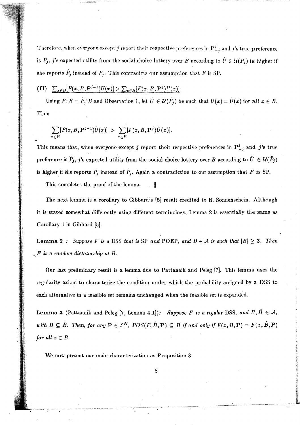Therefore, when everyone except j report their respective preferences in  $P_{-j}^{j}$  and j's true preference is  $P_j$ , j's expected utility from the social choice lottery over B according to  $\hat{U} \in \mathcal{U}(P_j)$  is higher if she reports  $\hat{P}_j$  instead of  $P_j$ . This contradicts our assumption that F is SP.

(II) 
$$
\sum_{x\in B}[F(x, B, P^{j-1})U(x)] > \sum_{x\in B}[F(x, B, P^j)U(x)].
$$

Using  $P_j|B = \hat{P}_j|B$  and Observation 1, let  $\hat{U} \in \mathcal{U}(\hat{P}_j)$  be such that  $U(x) = \hat{U}(x)$  for all  $x \in B$ . Then

$$
\sum_{x\in B} [F(x,B,\mathbf{P}^{j-1})\hat{U}(x)] > \sum_{x\in B} [F(x,B,\mathbf{P}^{j})\hat{U}(x)].
$$

This means that, when everyone except j report their respective preferences in  $P_{-i}^j$  and j's true preference is  $\hat{P}_j$ , j's expected utility from the social choice lottery over B according to  $\hat{U} \in \mathcal{U}(\hat{P}_j)$ is higher if she reports  $P_j$  instead of  $\hat{P}_j$ . Again a contradiction to our assumption that F is SP.

This completes the proof of the lemma.  $\mathbb{R}^{\mathbb{N}}$ 

The next lemma is a corollary to Gibbard's [5] result credited to H. Sonnenschein. Although it is stated somewhat differently using different terminology, Lemma 2 is essentially the same as Corollary 1 in Gibbard [5].

**Lemma 2**: Suppose F is a DSS that is SP and POEP, and  $B \in A$  is such that  $|B| \ge 3$ . Then  $E$  is a random dictatorship at B.

Our last preliminary result is a lemma due to Pattanaik and Peleg [7]. This lemma uses the regularity axiom to characterize the condition under which the probability assigned by a DSS to each alternative in a feasible set remains unchanged when the feasible set is expanded.

**Lemma 3** (Pattanaik and Peleg [7, Lemma 4.1]): Suppose F is a regular DSS, and  $B, \hat{B} \in \mathcal{A}$ , with  $B \subseteq \hat{B}$ . Then, for any  $P \in \mathcal{L}^N$ ,  $POS(F, \hat{B}, P) \subseteq B$  if and only if  $F(x, B, P) = F(x, \hat{B}, P)$ for all  $x \in B$ .

We now present our main characterization as Proposition 3.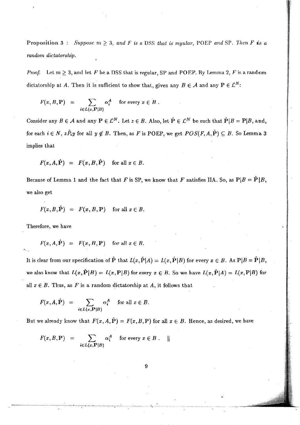Proposition 3: *Suppose*  $m \geq 3$ , and *F* is a DSS that is regular, POEP and SP. Then *F* is a *random dictatorship.* 

*Proof.* Let  $m \geq 3$ , and let F be a DSS that is regular, SP and POEP. By Lemma 2, F is a random dictatorship at *A*. Then it is sufficient to show that, given any  $B \in \mathcal{A}$  and any  $P \in \mathcal{L}^N$ :

$$
F(x, B, P) = \sum_{i \in L(x, P|B)} \alpha_i^A \quad \text{for every } x \in B.
$$

Consider any  $B \in \mathcal{A}$  and any  $P \in \mathcal{L}^N$ . Let  $z \in B$ . Also, let  $\hat{P} \in \mathcal{L}^N$  be such that  $\hat{P} |B = P |B$ , and, for each  $i \in N$ ,  $z\hat{P}_iy$  for all  $y \notin B$ . Then, as F is POEP, we get  $POS(F, A, \hat{P}) \subseteq B$ . So Lemma 3 implies that

$$
F(x, A, \hat{P}) = F(x, B, \hat{P}) \text{ for all } x \in B.
$$

Because of Lemma 1 and the fact that F is SP, we know that F satisfies IIA. So, as  $P|B = \tilde{P}|B$ , we also get

$$
F(x, B, \hat{P}) = F(x, B, P) \text{ for all } x \in B.
$$

Therefore, we have

$$
F(x, A, \hat{P}) = F(x, B, P) \text{ for all } x \in B.
$$

It is clear from our specification of  $\hat{P}$  that  $L(x,\hat{P}|A) = L(x,\hat{P}|B)$  for every  $x \in B$ . As  $P|B = \hat{P}|B$ , we also know that  $L(x,\hat{\mathbf{P}}|B) = L(x,\mathbf{P}|B)$  for every  $x \in B$ . So we have  $L(x,\hat{\mathbf{P}}|A) = L(x,\mathbf{P}|B)$  for all  $x \in B$ . Thus, as F is a random dictatorship at A, it follows that

$$
F(x, A, \hat{P}) = \sum_{i \in L(x, P \mid B)} \alpha_i^A \quad \text{for all } x \in B.
$$

But we already know that  $F(x, A, \hat{P}) = F(x, B, P)$  for all  $x \in B$ . Hence, as desired, we have

$$
F(x, B, \mathbf{P}) = \sum_{i \in L(x, \mathbf{P}|B)} \alpha_i^A \quad \text{for every } x \in B. \quad ||
$$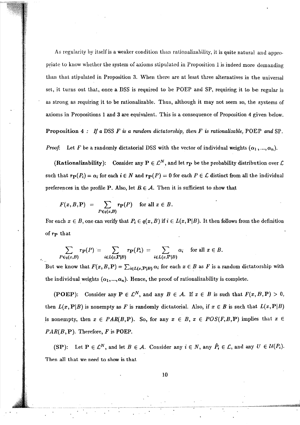As regularity by itself is a weaker condition than rationalizability, it is quite natural and appropriate to know whether the system of axioms stipulated in Proposition 1 is indeed more demanding than that stipulated in Proposition 3. When there are at least three alternatives in the universal set, it turns out that, once a DSS is required to be POEP and SP, requiring it to be regular is as strong as requiring it to be rationalizable. Thus, although it may not seem so, the systems of axioms in Propositions 1 and 3 are equivalent. This is a consequence of Proposition 4 given below.

Proposition 4: If a DSS F is a random dictatorship, then F is rationalizable, POEP and SP.

*Proof.* Let *F* be a randomly dictatorial DSS with the vector of individual weights  $(\alpha_1, ..., \alpha_n)$ .

(Rationalizability): Consider any  $P \in \mathcal{L}^N$ , and let  $r_P$  be the probability distribution over  $\mathcal L$ such that  $\mathbf{r}_{\mathbf{P}}(P_i) = \alpha_i$  for each  $i \in N$  and  $\mathbf{r}_{\mathbf{P}}(P) = 0$  for each  $P \in \mathcal{L}$  distinct from all the individual preferences in the profile P. Also, let  $B \in \mathcal{A}$ . Then it is sufficient to show that

$$
F(x, B, \mathbf{P}) = \sum_{P \in q(x, B)} r_{\mathbf{P}}(P) \text{ for all } x \in B.
$$

For each  $x \in B$ , one can verify that  $P_i \in q(x, B)$  if  $i \in L(x, P|B)$ . It then follows from the definition of rp that

$$
\sum_{P \in q(x,B)} r_{\mathbf{P}}(P) = \sum_{i \in L(x,\mathbf{P}|B)} r_{\mathbf{P}}(P_i) = \sum_{i \in L(x,\mathbf{P}|B)} \alpha_i \text{ for all } x \in B.
$$

But we know that  $F(x, B, P) = \sum_{i \in L(x, P|B)} \alpha_i$  for each  $x \in B$  as *F* is a random dictatorship with the individual weights  $(\alpha_1, ..., \alpha_n)$ . Hence, the proof of rationalizability is complete.

(POEP): Consider any  $P \in \mathcal{L}^N$ , and any  $B \in \mathcal{A}$ . If  $x \in B$  is such that  $F(x, B, P) > 0$ , then  $L(x, \mathbf{P}|B)$  is nonempty as *F* is randomly dictatorial. Also, if  $x \in B$  is such that  $L(x, \mathbf{P}|B)$ is nonempty, then  $x \in PAR(B, P)$ . So, for any  $x \in B$ ,  $x \in POS(F, B, P)$  implies that  $x \in$  $PAR(B, P)$ . Therefore,  $F$  is POEP.

(SP): Let  $P \in \mathcal{L}^N$ , and let  $B \in \mathcal{A}$ . Consider any  $i \in N$ , any  $\hat{P}_i \in \mathcal{L}$ , and any  $U \in \mathcal{U}(P_i)$ . Then all that we need to show is that.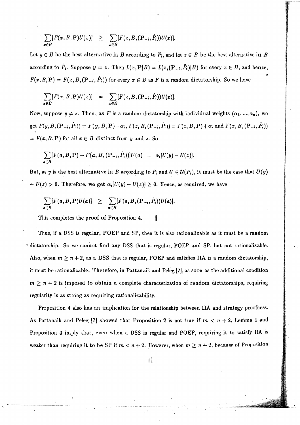$$
\sum_{x \in B} [F(x, B, P)U(x)] \geq \sum_{x \in B} [F(x, B, (P_{-i}, \hat{P}_i))U(x)].
$$

Let  $y \in B$  be the best alternative in *B* according to  $P_i$ , and let  $z \in B$  be the best alternative in *B* according to  $\hat{P}_i$ . Suppose  $y=z$ . Then  $L(x,\mathbf{P}|B) = L(x,(\mathbf{P}_{-i},\hat{P}_i)|B)$  for every  $x \in B$ , and hence,  $F(x,B,\mathbf{P})=F(x,B,(\mathbf{P}_{-i},\hat{P}_i))$  for every  $x\in B$  as F is a random dictatorship. So we have

$$
\sum_{x \in B} [F(x, B, P)U(x)] = \sum_{x \in B} [F(x, B, (P_{-i}, \hat{P}_i))U(x)].
$$

Now, suppose  $y \neq z$ . Then, as F is a random dictatorship with individual weights  $(\alpha_1, ..., \alpha_n)$ , we get  $F(y, B, (P_{-i}, \hat{P}_i)) = F(y, B, P) - \alpha_i$ ,  $F(z, B, (P_{-i}, \hat{P}_i)) = F(z, B, P) + \alpha_i$  and  $F(x, B, (P_{-i}, \hat{P}_i))$  $= F(x, B, P)$  for all  $x \in B$  distinct from *y* and *z*. So

$$
\sum_{a\in B} [F(a, B, P) - F(a, B, (P_{-i}, \hat{P}_i))]U(a) = \alpha_i [U(y) - U(z)].
$$

But, as y is the best alternative in B according to  $P_i$  and  $U \in \mathcal{U}(P_i)$ , it must be the case that  $U(y)$  $- U(z) > 0$ . Therefore, we get  $\alpha_i[U(y) - U(z)] \ge 0$ . Hence, as required, we have

$$
\sum_{a\in B} [F(a, B, P)U(a)] \geq \sum_{a\in B} [F(a, B, (P_{-i}, \hat{P}_i))U(a)].
$$

.' .

This completes the proof of Proposition 4.  $\|\cdot\|$ 

Thus, if a DSS is regular, POEP and SP, then it is also rationalizable as it must be a random  $\sim$  dictatorship. So we cannot find any DSS that is regular, POEP and SP, but not rationalizable. Also, when  $m \ge n + 2$ , as a DSS that is regular, POEP and satisfies IIA is a random dictatorship, it must be rationalizable. Therefore, in Pattanaik and Peleg  $[7]$ , as soon as the additional condition  $m \geq n+2$  is imposed to obtain a complete characterization of random dictatorships, requiring regularity is as strong as requiring rationalizability.

Proposition 4 also has an implication for the relationship between IIA and strategy proofness. As Pattanaik and Peleg [7] showed that Proposition 2 is not true if  $m < n + 2$ , Lemma 1 and Proposition 3 imply that, even when a DSS is regular and POEP, requiring it to satisfy IIA is weaker than requiring it to be SP if  $m < n + 2$ . However, when  $m \ge n + 2$ , because of Proposition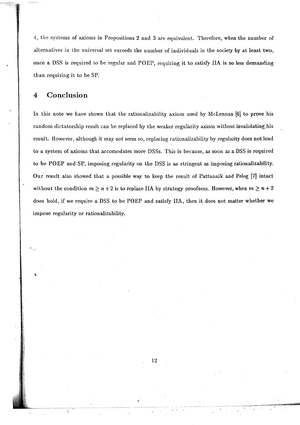4, the systems of axioms in Propositions 2 and 3 are equivalent. Therefore, when the number of alternatives in the universal set exceeds the number of individuals in the society by at least two. once a DSS is required to be regular and POEP, requiring it to satisfy lIA is no less demanding than requiring it to be SP.

#### 4 **Conclusion**

In this note we have shown that the rationalizability axiom used by McLennan [6] to prove his random dictatorship result can be replaced by the weaker regularity axiom without invalidating his result. However, although it may not seem so, replacing rationalizability by regularity does not lead to a systern of axioms that accomodates more DSSs. This is because, as soon as a DSS is' required to be POEP and SP, imposing regularity on the DSS is as stringent as imposing rationalizability. Our result also showed that a possible way to keep the result of Pattanaik and Peleg [7] intact without the condition  $m \ge n+2$  is to replace IIA by strategy proofness. However, when  $m \ge n+2$ does hold, if we require a DSS to be POEP and satisfy IIA, then it does not matter whether we impose regularity or rationalizability.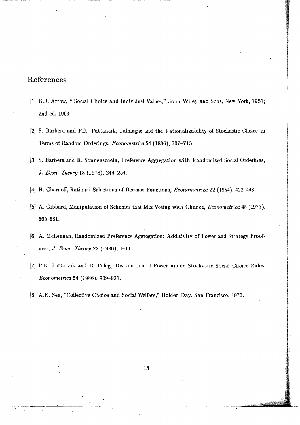### References

- [1] K.J. Arrow, " Social Choice and Individual Values," John Wiley and Sons, New York, 1951; 2nd cd. 1963.
- [2] S. Barbera and P.K. Pattanaik, Falmagne and the Rationalizability of Stochastic Choice in Terms of Random Orderings, *Econometrica* 54 (1986), 707-715.
- [3] S. Barbera and H. Sonnenschein, Preference Aggregation with Randomized Social Orderings, *J.Econ. Theory* 18 (1978), 244-254',
- [4] H. Chernoff, Rational Selections of Decision Functions, *Econometrica* 22 (1954), 422-443.
- [5] A. Gibbard, Manipulation of Schemes that Mix Voting with Chance, *Econometrica* 45 (1977), 665-681.
- [6] A. McLennan, Randomized Preference Aggregation: Additivity of Power and Strategy Proofness, *J. Econ. Theory* 22 (1980), 1-11.
- [7] P.K. Pattanaik and B. Peleg, Distribution of Power under Stochastic Social Choice Rules, *Econometrica.* 54 (1986), 909-921.
- [8] A.K. Sen, "Collective Choice and Social Welfare," Holden Day, San Francisco, 1970.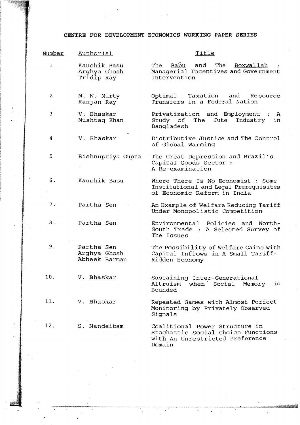#### **CENTRE FOR DEVELOPMENT ECONOMICS WORKING PAPER SERIES**

| Number | Author(s)                                   | Title                                                                                                             |
|--------|---------------------------------------------|-------------------------------------------------------------------------------------------------------------------|
| 1      | Kaushik Basu<br>Arghya Ghosh<br>Tridip Ray  | Babu<br>and<br>The Boxwallah<br>The<br>Managerial Incentives and Government<br>Intervention                       |
| 2      | M. N. Murty<br>Ranjan Ray                   | Taxation and Resource<br>Optimal<br>Transfers in a Federal Nation                                                 |
| 3      | V. Bhaskar<br>Mushtaq Khan                  | Privatization and Employment :<br>$\mathbf{A}$<br>Study of The<br>Jute<br>in<br>Industry<br>Bangladesh            |
| 4      | V. Bhaskar                                  | Distributive Justice and The Control<br>of Global Warming                                                         |
| 5      | Bishnupriya Gupta                           | The Great Depression and Brazil's<br>Capital Goods Sector :<br>A Re-examination                                   |
| 6.     | Kaushik Basu                                | Where There Is No Economist : Some<br>Institutional and Legal Prerequisites<br>of Economic Reform in India        |
| 7.     | Partha Sen                                  | An Example of Welfare Reducing Tariff<br>Under Monopolistic Competition                                           |
| 8.     | Partha Sen                                  | Environmental<br>Policies and North-<br>South Trade : A Selected Survey of<br>The Issues                          |
| 9.     | Partha Sen<br>Arghya Ghosh<br>Abheek Barman | The Possibility of Welfare Gains with<br>Capital Inflows in A Small Tariff-<br>Ridden Economy                     |
| 10.    | V. Bhaskar                                  | Sustaining Inter-Generational<br>Altruism when Social<br>is<br>Memory<br>Bounded                                  |
| 11.    | V. Bhaskar                                  | Repeated Games with Almost Perfect<br>Monitoring by Privately Observed<br>Signals                                 |
| 12.    | S. Nandeibam                                | Coalitional Power Structure in<br>Stochastic Social Choice Functions<br>with An Unrestricted Preference<br>Domain |